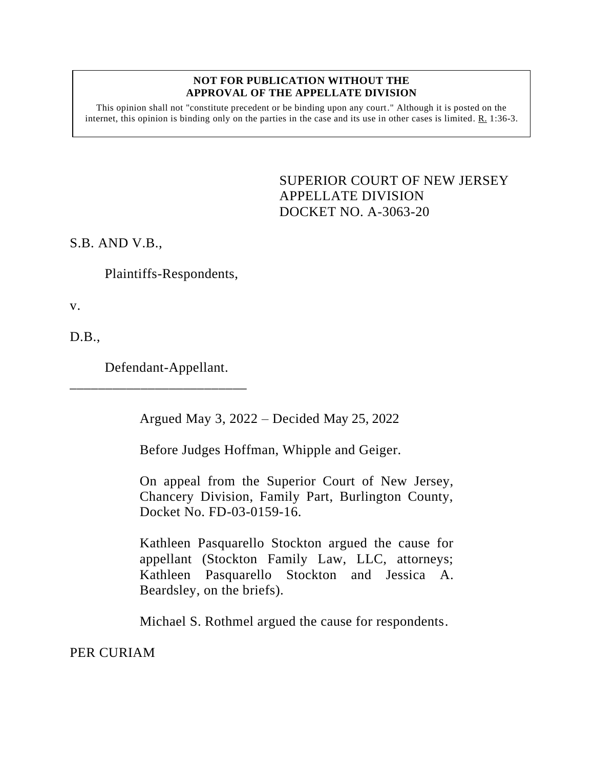## **NOT FOR PUBLICATION WITHOUT THE APPROVAL OF THE APPELLATE DIVISION**

This opinion shall not "constitute precedent or be binding upon any court." Although it is posted on the internet, this opinion is binding only on the parties in the case and its use in other cases is limited. R. 1:36-3.

> <span id="page-0-0"></span>SUPERIOR COURT OF NEW JERSEY APPELLATE DIVISION DOCKET NO. A-3063-20

S.B. AND V.B.,

Plaintiffs-Respondents,

v.

D.B.,

Defendant-Appellant.

\_\_\_\_\_\_\_\_\_\_\_\_\_\_\_\_\_\_\_\_\_\_\_\_\_

Argued May 3, 2022 – Decided May 25, 2022

Before Judges Hoffman, Whipple and Geiger.

On appeal from the Superior Court of New Jersey, Chancery Division, Family Part, Burlington County, Docket No. FD-03-0159-16.

Kathleen Pasquarello Stockton argued the cause for appellant (Stockton Family Law, LLC, attorneys; Kathleen Pasquarello Stockton and Jessica A. Beardsley, on the briefs).

Michael S. Rothmel argued the cause for respondents.

PER CURIAM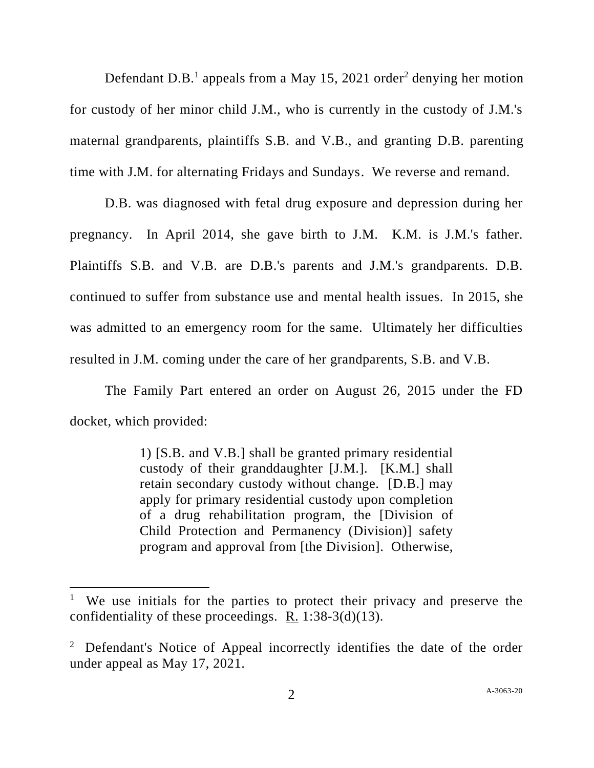Defendant D.B.<sup>1</sup> appeals from a May 15, 2021 order<sup>2</sup> denying her motion for custody of her minor child J.M., who is currently in the custody of J.M.'s maternal grandparents, plaintiffs S.B. and V.B., and granting D.B. parenting time with J.M. for alternating Fridays and Sundays. We reverse and remand.

D.B. was diagnosed with fetal drug exposure and depression during her pregnancy. In April 2014, she gave birth to J.M. K.M. is J.M.'s father. Plaintiffs S.B. and V.B. are D.B.'s parents and J.M.'s grandparents. D.B. continued to suffer from substance use and mental health issues. In 2015, she was admitted to an emergency room for the same. Ultimately her difficulties resulted in J.M. coming under the care of her grandparents, S.B. and V.B.

The Family Part entered an order on August 26, 2015 under the FD docket, which provided:

> 1) [S.B. and V.B.] shall be granted primary residential custody of their granddaughter [J.M.]. [K.M.] shall retain secondary custody without change. [D.B.] may apply for primary residential custody upon completion of a drug rehabilitation program, the [Division of Child Protection and Permanency (Division)] safety program and approval from [the Division]. Otherwise,

<sup>&</sup>lt;sup>1</sup> We use initials for the parties to protect their privacy and preserve the confidentiality of these proceedings. R.  $1:38-3(d)(13)$ .

<sup>&</sup>lt;sup>2</sup> Defendant's Notice of Appeal incorrectly identifies the date of the order under appeal as May 17, 2021.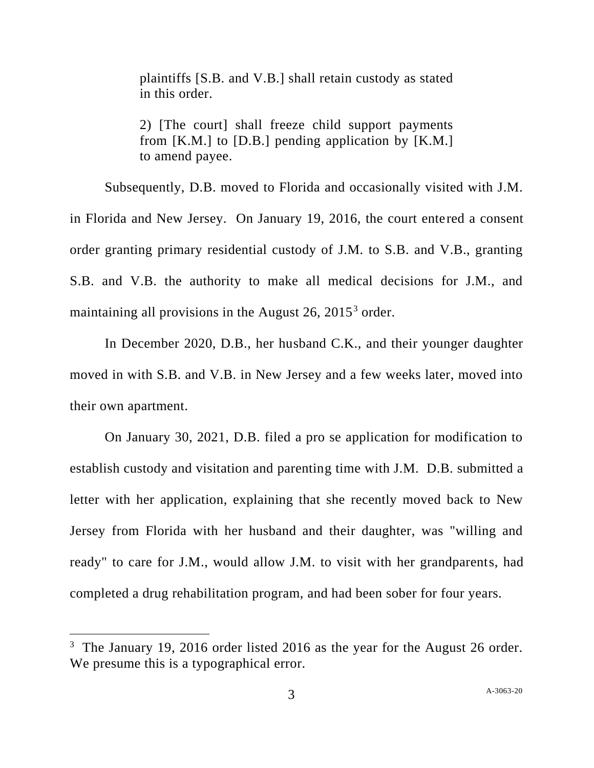plaintiffs [S.B. and V.B.] shall retain custody as stated in this order.

2) [The court] shall freeze child support payments from  $[K.M.]$  to  $[D.B.]$  pending application by  $[K.M.]$ to amend payee.

Subsequently, D.B. moved to Florida and occasionally visited with J.M. in Florida and New Jersey. On January 19, 2016, the court entered a consent order granting primary residential custody of J.M. to S.B. and V.B., granting S.B. and V.B. the authority to make all medical decisions for J.M., and maintaining all provisions in the August 26, 2015<sup>3</sup> order.

In December 2020, D.B., her husband C.K., and their younger daughter moved in with S.B. and V.B. in New Jersey and a few weeks later, moved into their own apartment.

On January 30, 2021, D.B. filed a pro se application for modification to establish custody and visitation and parenting time with J.M. D.B. submitted a letter with her application, explaining that she recently moved back to New Jersey from Florida with her husband and their daughter, was "willing and ready" to care for J.M., would allow J.M. to visit with her grandparents, had completed a drug rehabilitation program, and had been sober for four years.

<sup>&</sup>lt;sup>3</sup> The January 19, 2016 order listed 2016 as the year for the August 26 order. We presume this is a typographical error.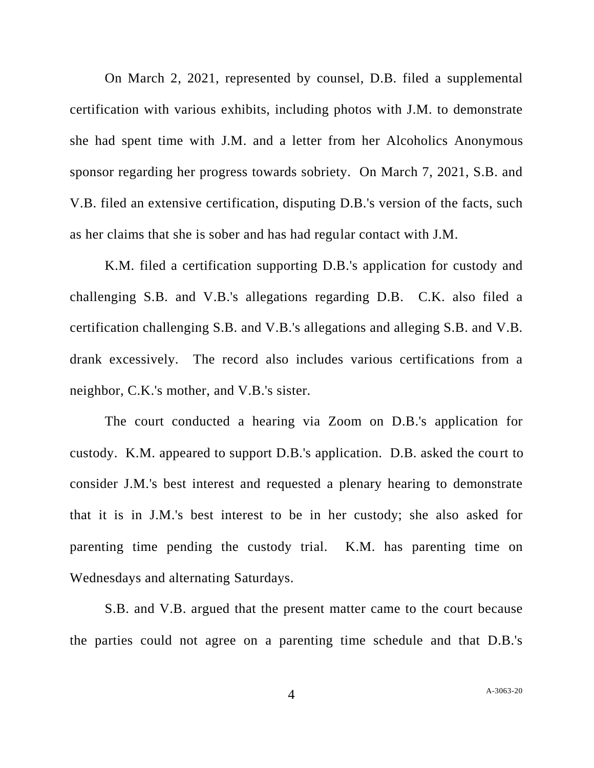On March 2, 2021, represented by counsel, D.B. filed a supplemental certification with various exhibits, including photos with J.M. to demonstrate she had spent time with J.M. and a letter from her Alcoholics Anonymous sponsor regarding her progress towards sobriety. On March 7, 2021, S.B. and V.B. filed an extensive certification, disputing D.B.'s version of the facts, such as her claims that she is sober and has had regular contact with J.M.

K.M. filed a certification supporting D.B.'s application for custody and challenging S.B. and V.B.'s allegations regarding D.B. C.K. also filed a certification challenging S.B. and V.B.'s allegations and alleging S.B. and V.B. drank excessively. The record also includes various certifications from a neighbor, C.K.'s mother, and V.B.'s sister.

The court conducted a hearing via Zoom on D.B.'s application for custody. K.M. appeared to support D.B.'s application. D.B. asked the court to consider J.M.'s best interest and requested a plenary hearing to demonstrate that it is in J.M.'s best interest to be in her custody; she also asked for parenting time pending the custody trial. K.M. has parenting time on Wednesdays and alternating Saturdays.

S.B. and V.B. argued that the present matter came to the court because the parties could not agree on a parenting time schedule and that D.B.'s

4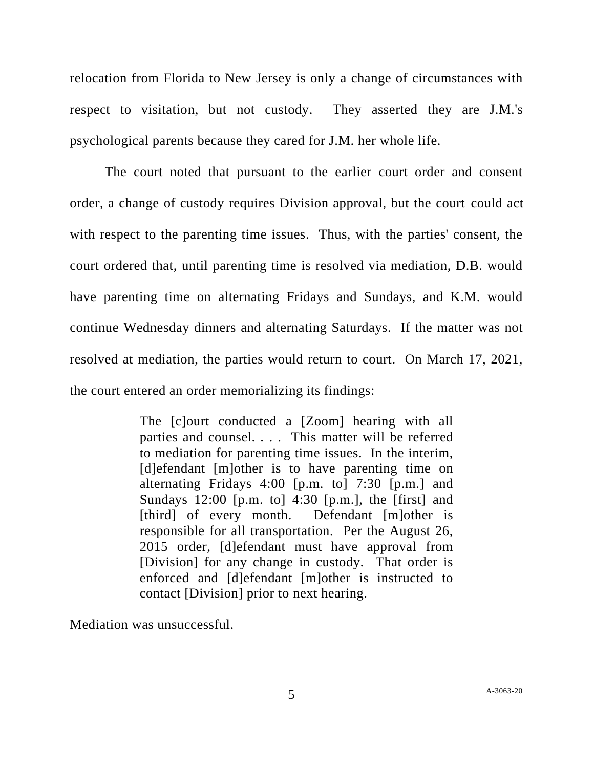relocation from Florida to New Jersey is only a change of circumstances with respect to visitation, but not custody. They asserted they are J.M.'s psychological parents because they cared for J.M. her whole life.

The court noted that pursuant to the earlier court order and consent order, a change of custody requires Division approval, but the court could act with respect to the parenting time issues. Thus, with the parties' consent, the court ordered that, until parenting time is resolved via mediation, D.B. would have parenting time on alternating Fridays and Sundays, and K.M. would continue Wednesday dinners and alternating Saturdays. If the matter was not resolved at mediation, the parties would return to court. On March 17, 2021, the court entered an order memorializing its findings:

> The [c]ourt conducted a [Zoom] hearing with all parties and counsel. . . . This matter will be referred to mediation for parenting time issues. In the interim, [d]efendant [m]other is to have parenting time on alternating Fridays 4:00 [p.m. to] 7:30 [p.m.] and Sundays 12:00 [p.m. to] 4:30 [p.m.], the [first] and [third] of every month. Defendant [m]other is responsible for all transportation. Per the August 26, 2015 order, [d]efendant must have approval from [Division] for any change in custody. That order is enforced and [d]efendant [m]other is instructed to contact [Division] prior to next hearing.

Mediation was unsuccessful.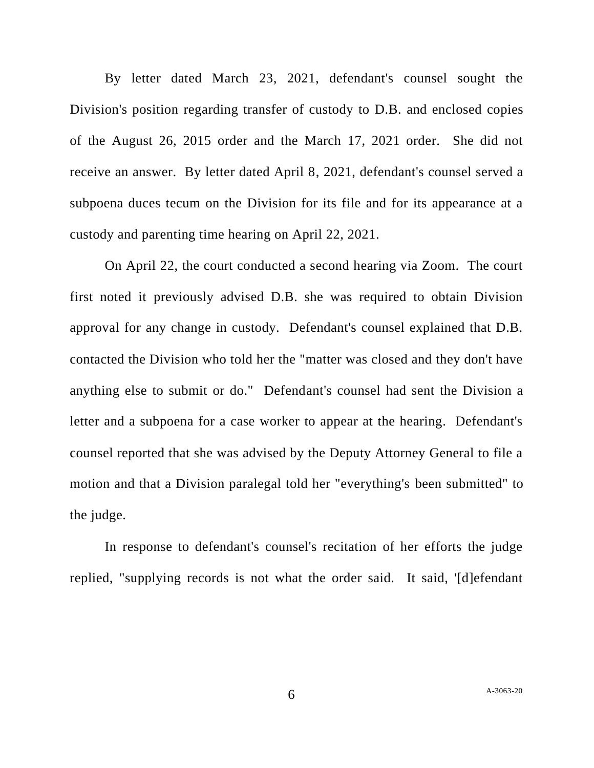By letter dated March 23, 2021, defendant's counsel sought the Division's position regarding transfer of custody to D.B. and enclosed copies of the August 26, 2015 order and the March 17, 2021 order. She did not receive an answer. By letter dated April 8, 2021, defendant's counsel served a subpoena duces tecum on the Division for its file and for its appearance at a custody and parenting time hearing on April 22, 2021.

On April 22, the court conducted a second hearing via Zoom. The court first noted it previously advised D.B. she was required to obtain Division approval for any change in custody. Defendant's counsel explained that D.B. contacted the Division who told her the "matter was closed and they don't have anything else to submit or do." Defendant's counsel had sent the Division a letter and a subpoena for a case worker to appear at the hearing. Defendant's counsel reported that she was advised by the Deputy Attorney General to file a motion and that a Division paralegal told her "everything's been submitted" to the judge.

In response to defendant's counsel's recitation of her efforts the judge replied, "supplying records is not what the order said. It said, '[d]efendant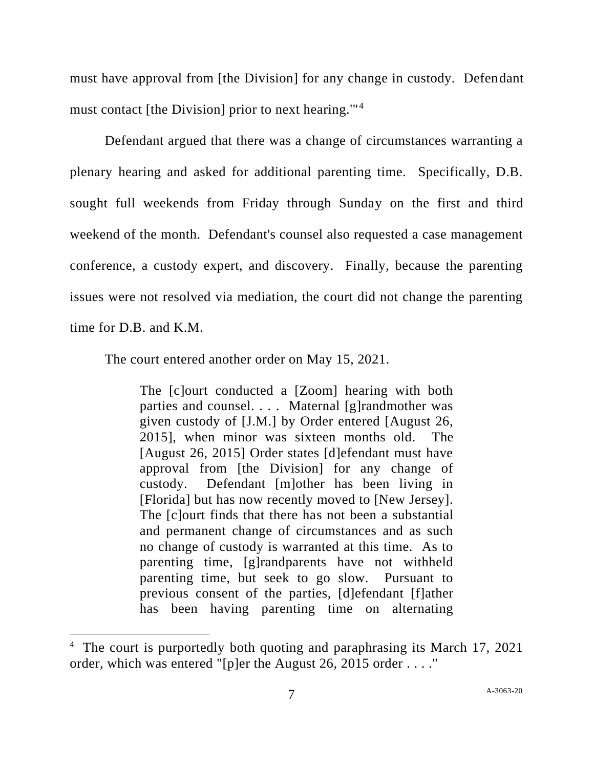must have approval from [the Division] for any change in custody. Defendant must contact [the Division] prior to next hearing.'"<sup>4</sup>

Defendant argued that there was a change of circumstances warranting a plenary hearing and asked for additional parenting time. Specifically, D.B. sought full weekends from Friday through Sunday on the first and third weekend of the month. Defendant's counsel also requested a case management conference, a custody expert, and discovery. Finally, because the parenting issues were not resolved via mediation, the court did not change the parenting time for D.B. and K.M.

The court entered another order on May 15, 2021.

The [c]ourt conducted a [Zoom] hearing with both parties and counsel. . . . Maternal [g]randmother was given custody of [J.M.] by Order entered [August 26, 2015], when minor was sixteen months old. The [August 26, 2015] Order states [d]efendant must have approval from [the Division] for any change of custody. Defendant [m]other has been living in [Florida] but has now recently moved to [New Jersey]. The [c]ourt finds that there has not been a substantial and permanent change of circumstances and as such no change of custody is warranted at this time. As to parenting time, [g]randparents have not withheld parenting time, but seek to go slow. Pursuant to previous consent of the parties, [d]efendant [f]ather has been having parenting time on alternating

<sup>&</sup>lt;sup>4</sup> The court is purportedly both quoting and paraphrasing its March 17, 2021 order, which was entered "[p]er the August 26, 2015 order . . . ."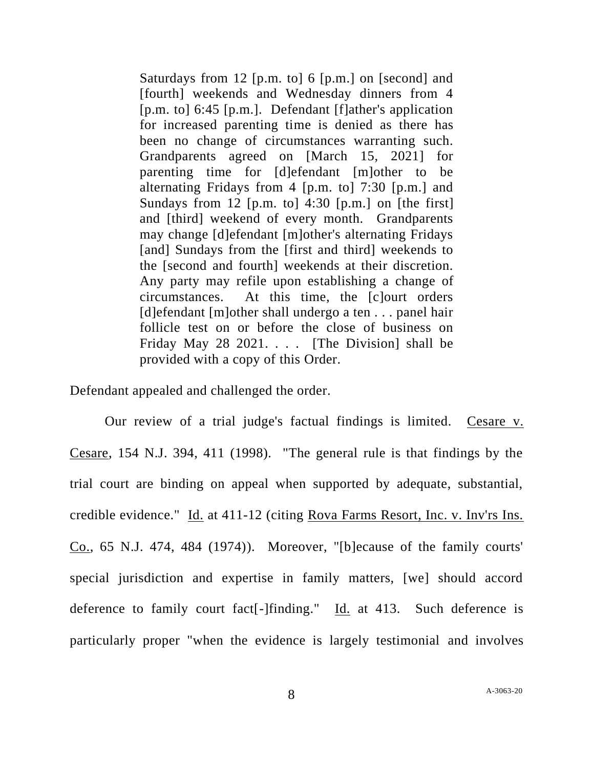Saturdays from 12 [p.m. to] 6 [p.m.] on [second] and [fourth] weekends and Wednesday dinners from 4 [p.m. to] 6:45 [p.m.]. Defendant [f]ather's application for increased parenting time is denied as there has been no change of circumstances warranting such. Grandparents agreed on [March 15, 2021] for parenting time for [d]efendant [m]other to be alternating Fridays from 4 [p.m. to] 7:30 [p.m.] and Sundays from 12 [p.m. to] 4:30 [p.m.] on [the first] and [third] weekend of every month. Grandparents may change [d]efendant [m]other's alternating Fridays [and] Sundays from the [first and third] weekends to the [second and fourth] weekends at their discretion. Any party may refile upon establishing a change of circumstances. At this time, the [c]ourt orders [d]efendant [m]other shall undergo a ten . . . panel hair follicle test on or before the close of business on Friday May 28 2021. . . . [The Division] shall be provided with a copy of this Order.

Defendant appealed and challenged the order.

Our review of a trial judge's factual findings is limited. Cesare v. Cesare, 154 N.J. 394, 411 (1998). "The general rule is that findings by the trial court are binding on appeal when supported by adequate, substantial, credible evidence." Id. at 411-12 (citing Rova Farms Resort, Inc. v. Inv'rs Ins. Co., 65 N.J. 474, 484 (1974)). Moreover, "[b]ecause of the family courts' special jurisdiction and expertise in family matters, [we] should accord deference to family court fact[-]finding." Id. at 413. Such deference is particularly proper "when the evidence is largely testimonial and involves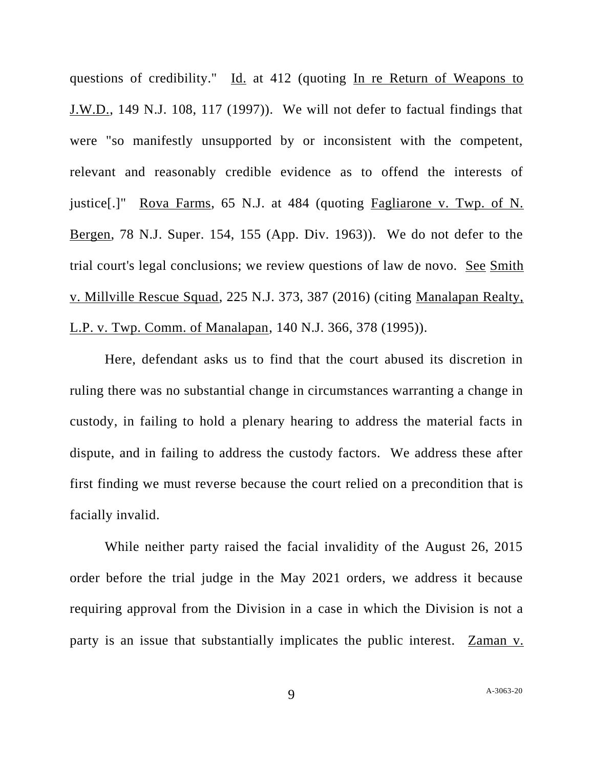questions of credibility." Id. at 412 (quoting In re Return of Weapons to J.W.D., 149 N.J. 108, 117 (1997)). We will not defer to factual findings that were "so manifestly unsupported by or inconsistent with the competent, relevant and reasonably credible evidence as to offend the interests of justice[.]" Rova Farms, 65 N.J. at 484 (quoting Fagliarone v. Twp. of N. Bergen, 78 N.J. Super. 154, 155 (App. Div. 1963)). We do not defer to the trial court's legal conclusions; we review questions of law de novo. See Smith v. Millville Rescue Squad, 225 N.J. 373, 387 (2016) (citing Manalapan Realty, L.P. v. Twp. Comm. of Manalapan, 140 N.J. 366, 378 (1995)).

Here, defendant asks us to find that the court abused its discretion in ruling there was no substantial change in circumstances warranting a change in custody, in failing to hold a plenary hearing to address the material facts in dispute, and in failing to address the custody factors. We address these after first finding we must reverse because the court relied on a precondition that is facially invalid.

While neither party raised the facial invalidity of the August 26, 2015 order before the trial judge in the May 2021 orders, we address it because requiring approval from the Division in a case in which the Division is not a party is an issue that substantially implicates the public interest. Zaman v.

9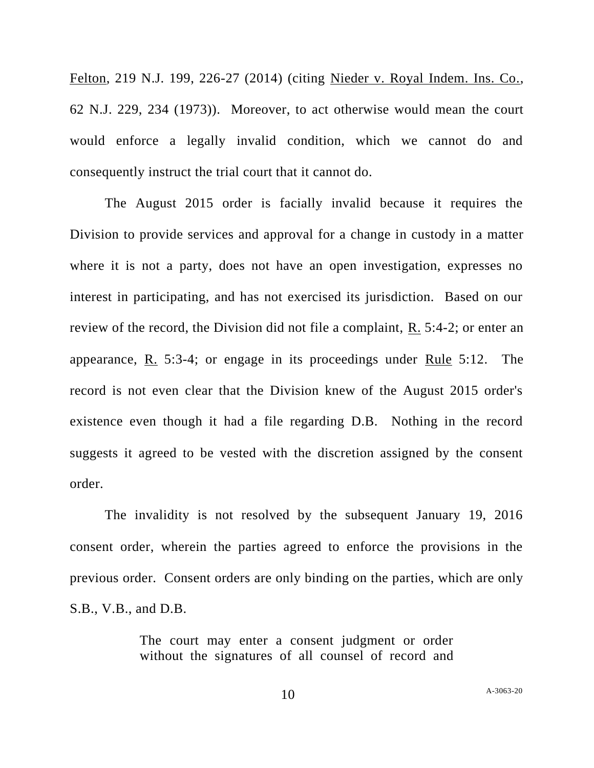Felton, 219 N.J. 199, 226-27 (2014) (citing Nieder v. Royal Indem. Ins. Co., 62 N.J. 229, 234 (1973)). Moreover, to act otherwise would mean the court would enforce a legally invalid condition, which we cannot do and consequently instruct the trial court that it cannot do.

The August 2015 order is facially invalid because it requires the Division to provide services and approval for a change in custody in a matter where it is not a party, does not have an open investigation, expresses no interest in participating, and has not exercised its jurisdiction. Based on our review of the record, the Division did not file a complaint,  $R_1$ , 5:4-2; or enter an appearance, R. 5:3-4; or engage in its proceedings under Rule 5:12. The record is not even clear that the Division knew of the August 2015 order's existence even though it had a file regarding D.B. Nothing in the record suggests it agreed to be vested with the discretion assigned by the consent order.

The invalidity is not resolved by the subsequent January 19, 2016 consent order, wherein the parties agreed to enforce the provisions in the previous order. Consent orders are only binding on the parties, which are only S.B., V.B., and D.B.

> The court may enter a consent judgment or order without the signatures of all counsel of record and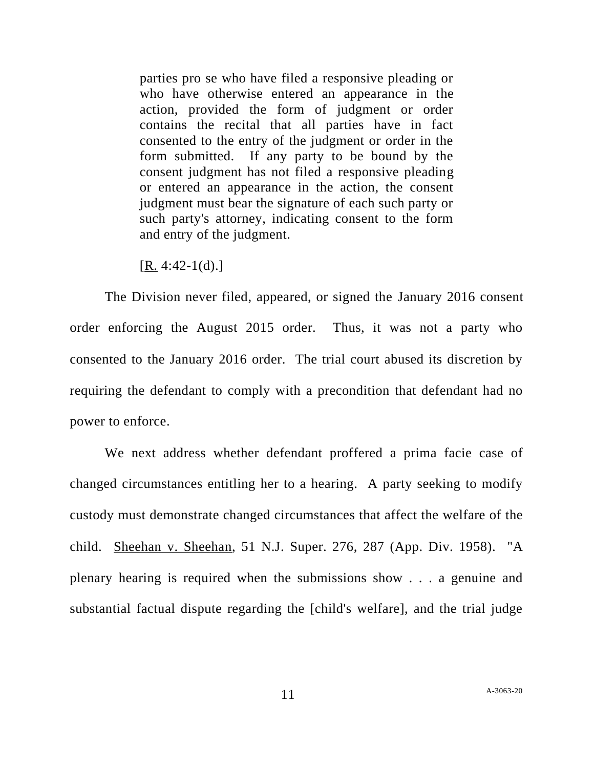parties pro se who have filed a responsive pleading or who have otherwise entered an appearance in the action, provided the form of judgment or order contains the recital that all parties have in fact consented to the entry of the judgment or order in the form submitted. If any party to be bound by the consent judgment has not filed a responsive pleading or entered an appearance in the action, the consent judgment must bear the signature of each such party or such party's attorney, indicating consent to the form and entry of the judgment.

 $[R. 4:42-1(d).]$ 

The Division never filed, appeared, or signed the January 2016 consent order enforcing the August 2015 order. Thus, it was not a party who consented to the January 2016 order. The trial court abused its discretion by requiring the defendant to comply with a precondition that defendant had no power to enforce.

We next address whether defendant proffered a prima facie case of changed circumstances entitling her to a hearing. A party seeking to modify custody must demonstrate changed circumstances that affect the welfare of the child. Sheehan v. Sheehan, 51 N.J. Super. 276, 287 (App. Div. 1958). "A plenary hearing is required when the submissions show . . . a genuine and substantial factual dispute regarding the [child's welfare], and the trial judge